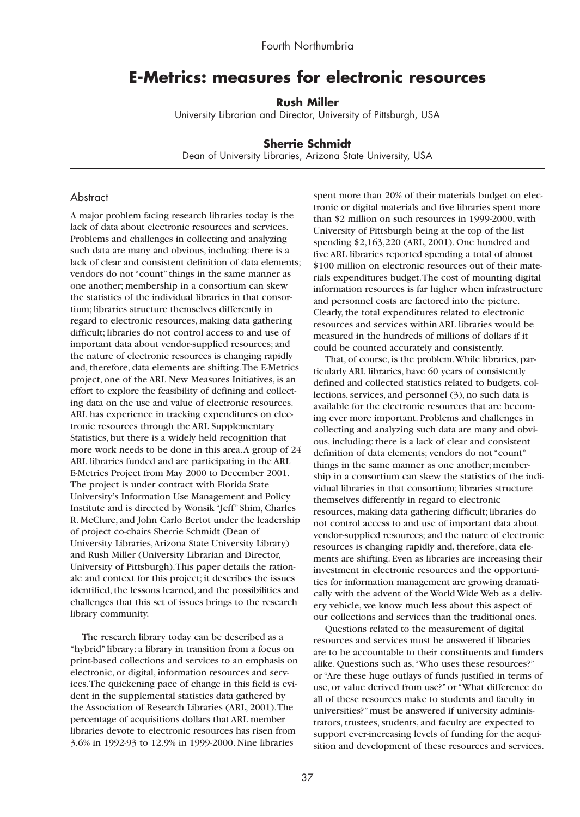# **E-Metrics: measures for electronic resources**

### **Rush Miller**

University Librarian and Director, University of Pittsburgh, USA

# **Sherrie Schmidt**

Dean of University Libraries, Arizona State University, USA

#### Abstract

A major problem facing research libraries today is the lack of data about electronic resources and services. Problems and challenges in collecting and analyzing such data are many and obvious, including: there is a lack of clear and consistent definition of data elements; vendors do not "count" things in the same manner as one another; membership in a consortium can skew the statistics of the individual libraries in that consortium; libraries structure themselves differently in regard to electronic resources, making data gathering difficult; libraries do not control access to and use of important data about vendor-supplied resources; and the nature of electronic resources is changing rapidly and, therefore, data elements are shifting.The E-Metrics project, one of the ARL New Measures Initiatives, is an effort to explore the feasibility of defining and collecting data on the use and value of electronic resources. ARL has experience in tracking expenditures on electronic resources through the ARL Supplementary Statistics, but there is a widely held recognition that more work needs to be done in this area.A group of 24 ARL libraries funded and are participating in the ARL E-Metrics Project from May 2000 to December 2001. The project is under contract with Florida State University's Information Use Management and Policy Institute and is directed by Wonsik "Jeff" Shim, Charles R. McClure, and John Carlo Bertot under the leadership of project co-chairs Sherrie Schmidt (Dean of University Libraries,Arizona State University Library) and Rush Miller (University Librarian and Director, University of Pittsburgh).This paper details the rationale and context for this project; it describes the issues identified, the lessons learned, and the possibilities and challenges that this set of issues brings to the research library community.

The research library today can be described as a "hybrid" library: a library in transition from a focus on print-based collections and services to an emphasis on electronic, or digital, information resources and services.The quickening pace of change in this field is evident in the supplemental statistics data gathered by the Association of Research Libraries (ARL, 2001).The percentage of acquisitions dollars that ARL member libraries devote to electronic resources has risen from 3.6% in 1992-93 to 12.9% in 1999-2000. Nine libraries

spent more than 20% of their materials budget on electronic or digital materials and five libraries spent more than \$2 million on such resources in 1999-2000, with University of Pittsburgh being at the top of the list spending \$2,163,220 (ARL, 2001). One hundred and five ARL libraries reported spending a total of almost \$100 million on electronic resources out of their materials expenditures budget.The cost of mounting digital information resources is far higher when infrastructure and personnel costs are factored into the picture. Clearly, the total expenditures related to electronic resources and services within ARL libraries would be measured in the hundreds of millions of dollars if it could be counted accurately and consistently.

That, of course, is the problem.While libraries, particularly ARL libraries, have 60 years of consistently defined and collected statistics related to budgets, collections, services, and personnel (3), no such data is available for the electronic resources that are becoming ever more important. Problems and challenges in collecting and analyzing such data are many and obvious, including: there is a lack of clear and consistent definition of data elements; vendors do not "count" things in the same manner as one another; membership in a consortium can skew the statistics of the individual libraries in that consortium; libraries structure themselves differently in regard to electronic resources, making data gathering difficult; libraries do not control access to and use of important data about vendor-supplied resources; and the nature of electronic resources is changing rapidly and, therefore, data elements are shifting. Even as libraries are increasing their investment in electronic resources and the opportunities for information management are growing dramatically with the advent of the World Wide Web as a delivery vehicle, we know much less about this aspect of our collections and services than the traditional ones.

Questions related to the measurement of digital resources and services must be answered if libraries are to be accountable to their constituents and funders alike. Questions such as,"Who uses these resources?" or "Are these huge outlays of funds justified in terms of use, or value derived from use?" or "What difference do all of these resources make to students and faculty in universities?" must be answered if university administrators, trustees, students, and faculty are expected to support ever-increasing levels of funding for the acquisition and development of these resources and services.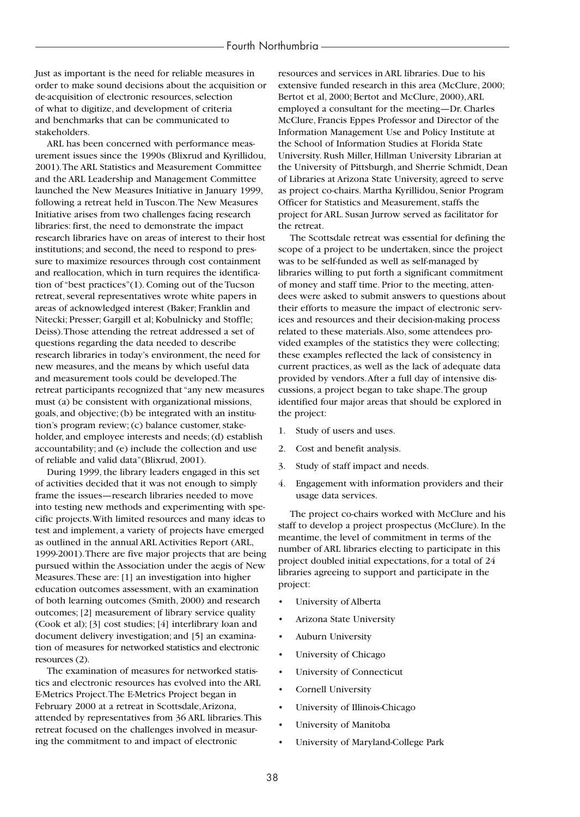#### Fourth Northumbria

Just as important is the need for reliable measures in order to make sound decisions about the acquisition or de-acquisition of electronic resources, selection of what to digitize, and development of criteria and benchmarks that can be communicated to stakeholders.

ARL has been concerned with performance measurement issues since the 1990s (Blixrud and Kyrillidou, 2001).The ARL Statistics and Measurement Committee and the ARL Leadership and Management Committee launched the New Measures Initiative in January 1999, following a retreat held in Tuscon.The New Measures Initiative arises from two challenges facing research libraries: first, the need to demonstrate the impact research libraries have on areas of interest to their host institutions; and second, the need to respond to pressure to maximize resources through cost containment and reallocation, which in turn requires the identification of "best practices"(1). Coming out of the Tucson retreat, several representatives wrote white papers in areas of acknowledged interest (Baker; Franklin and Nitecki; Presser; Gargill et al; Kobulnicky and Stoffle; Deiss).Those attending the retreat addressed a set of questions regarding the data needed to describe research libraries in today's environment, the need for new measures, and the means by which useful data and measurement tools could be developed.The retreat participants recognized that "any new measures must (a) be consistent with organizational missions, goals, and objective; (b) be integrated with an institution's program review; (c) balance customer, stakeholder, and employee interests and needs; (d) establish accountability; and (e) include the collection and use of reliable and valid data"(Blixrud, 2001).

During 1999, the library leaders engaged in this set of activities decided that it was not enough to simply frame the issues—research libraries needed to move into testing new methods and experimenting with specific projects.With limited resources and many ideas to test and implement, a variety of projects have emerged as outlined in the annual ARL Activities Report (ARL, 1999-2001).There are five major projects that are being pursued within the Association under the aegis of New Measures.These are: [1] an investigation into higher education outcomes assessment, with an examination of both learning outcomes (Smith, 2000) and research outcomes; [2] measurement of library service quality (Cook et al); [3] cost studies; [4] interlibrary loan and document delivery investigation; and [5] an examination of measures for networked statistics and electronic resources (2).

The examination of measures for networked statistics and electronic resources has evolved into the ARL E-Metrics Project.The E-Metrics Project began in February 2000 at a retreat in Scottsdale,Arizona, attended by representatives from 36 ARL libraries.This retreat focused on the challenges involved in measuring the commitment to and impact of electronic

resources and services in ARL libraries. Due to his extensive funded research in this area (McClure, 2000; Bertot et al, 2000; Bertot and McClure, 2000),ARL employed a consultant for the meeting—Dr. Charles McClure, Francis Eppes Professor and Director of the Information Management Use and Policy Institute at the School of Information Studies at Florida State University. Rush Miller, Hillman University Librarian at the University of Pittsburgh, and Sherrie Schmidt, Dean of Libraries at Arizona State University, agreed to serve as project co-chairs. Martha Kyrillidou, Senior Program Officer for Statistics and Measurement, staffs the project for ARL. Susan Jurrow served as facilitator for the retreat.

The Scottsdale retreat was essential for defining the scope of a project to be undertaken, since the project was to be self-funded as well as self-managed by libraries willing to put forth a significant commitment of money and staff time. Prior to the meeting, attendees were asked to submit answers to questions about their efforts to measure the impact of electronic services and resources and their decision-making process related to these materials.Also, some attendees provided examples of the statistics they were collecting; these examples reflected the lack of consistency in current practices, as well as the lack of adequate data provided by vendors.After a full day of intensive discussions, a project began to take shape.The group identified four major areas that should be explored in the project:

- 1. Study of users and uses.
- 2. Cost and benefit analysis.
- 3. Study of staff impact and needs.
- 4. Engagement with information providers and their usage data services.

The project co-chairs worked with McClure and his staff to develop a project prospectus (McClure). In the meantime, the level of commitment in terms of the number of ARL libraries electing to participate in this project doubled initial expectations, for a total of 24 libraries agreeing to support and participate in the project:

- University of Alberta
- Arizona State University
- Auburn University
- University of Chicago
- University of Connecticut
- Cornell University
- University of Illinois-Chicago
- University of Manitoba
- University of Maryland-College Park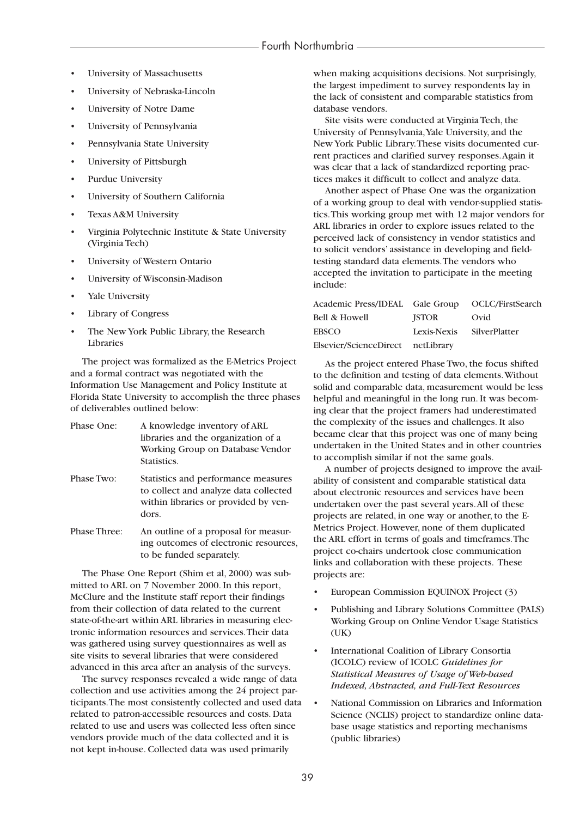- University of Massachusetts
- University of Nebraska-Lincoln
- University of Notre Dame
- University of Pennsylvania
- Pennsylvania State University
- University of Pittsburgh
- Purdue University
- University of Southern California
- Texas A&M University
- Virginia Polytechnic Institute & State University (Virginia Tech)
- University of Western Ontario
- University of Wisconsin-Madison
- Yale University
- Library of Congress
- The New York Public Library, the Research Libraries

The project was formalized as the E-Metrics Project and a formal contract was negotiated with the Information Use Management and Policy Institute at Florida State University to accomplish the three phases of deliverables outlined below:

- Phase One: A knowledge inventory of ARL libraries and the organization of a Working Group on Database Vendor Statistics. Phase Two: Statistics and performance measures to collect and analyze data collected within libraries or provided by vendors.
- Phase Three: An outline of a proposal for measuring outcomes of electronic resources, to be funded separately.

The Phase One Report (Shim et al, 2000) was submitted to ARL on 7 November 2000. In this report, McClure and the Institute staff report their findings from their collection of data related to the current state-of-the-art within ARL libraries in measuring electronic information resources and services.Their data was gathered using survey questionnaires as well as site visits to several libraries that were considered advanced in this area after an analysis of the surveys.

The survey responses revealed a wide range of data collection and use activities among the 24 project participants.The most consistently collected and used data related to patron-accessible resources and costs. Data related to use and users was collected less often since vendors provide much of the data collected and it is not kept in-house. Collected data was used primarily

when making acquisitions decisions. Not surprisingly, the largest impediment to survey respondents lay in the lack of consistent and comparable statistics from database vendors.

Site visits were conducted at Virginia Tech, the University of Pennsylvania,Yale University, and the New York Public Library.These visits documented current practices and clarified survey responses.Again it was clear that a lack of standardized reporting practices makes it difficult to collect and analyze data.

Another aspect of Phase One was the organization of a working group to deal with vendor-supplied statistics.This working group met with 12 major vendors for ARL libraries in order to explore issues related to the perceived lack of consistency in vendor statistics and to solicit vendors' assistance in developing and fieldtesting standard data elements.The vendors who accepted the invitation to participate in the meeting include:

| Academic Press/IDEAL Gale Group OCLC/FirstSearch |              |               |
|--------------------------------------------------|--------------|---------------|
| <b>Bell &amp; Howell</b>                         | <b>ISTOR</b> | Ovid          |
| <b>EBSCO</b>                                     | Lexis-Nexis  | SilverPlatter |
| Elsevier/ScienceDirect netLibrary                |              |               |

As the project entered Phase Two, the focus shifted to the definition and testing of data elements.Without solid and comparable data, measurement would be less helpful and meaningful in the long run. It was becoming clear that the project framers had underestimated the complexity of the issues and challenges. It also became clear that this project was one of many being undertaken in the United States and in other countries to accomplish similar if not the same goals.

A number of projects designed to improve the availability of consistent and comparable statistical data about electronic resources and services have been undertaken over the past several years.All of these projects are related, in one way or another, to the E-Metrics Project. However, none of them duplicated the ARL effort in terms of goals and timeframes.The project co-chairs undertook close communication links and collaboration with these projects. These projects are:

- European Commission EQUINOX Project (3)
- Publishing and Library Solutions Committee (PALS) Working Group on Online Vendor Usage Statistics (UK)
- International Coalition of Library Consortia (ICOLC) review of ICOLC *Guidelines for Statistical Measures of Usage of Web-based Indexed, Abstracted, and Full-Text Resources*
- National Commission on Libraries and Information Science (NCLIS) project to standardize online database usage statistics and reporting mechanisms (public libraries)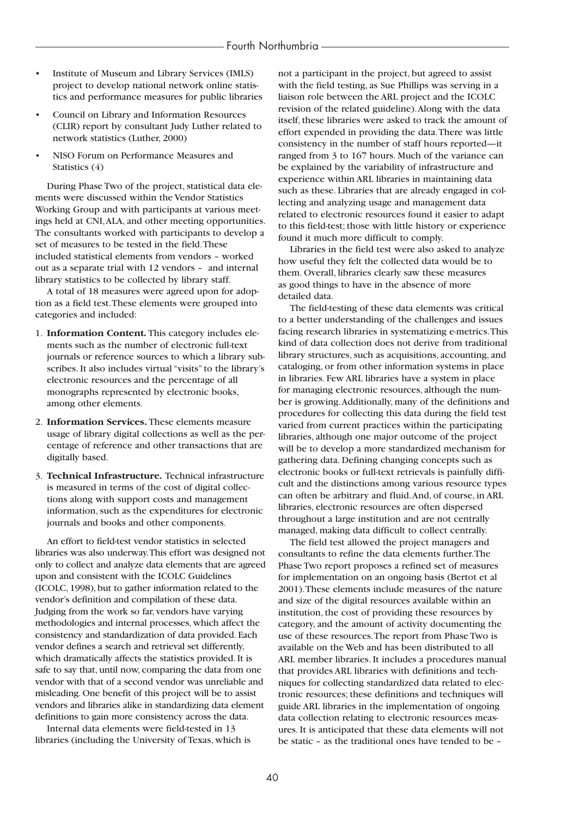- Institute of Museum and Library Services (IMLS) project to develop national network online statistics and performance measures for public libraries
- Council on Library and Information Resources (CLIR) report by consultant Judy Luther related to network statistics (Luther, 2000)
- NISO Forum on Performance Measures and Statistics (4)

During Phase Two of the project, statistical data elements were discussed within the Vendor Statistics Working Group and with participants at various meetings held at CNI,ALA, and other meeting opportunities. The consultants worked with participants to develop a set of measures to be tested in the field.These included statistical elements from vendors – worked out as a separate trial with 12 vendors – and internal library statistics to be collected by library staff.

A total of 18 measures were agreed upon for adoption as a field test.These elements were grouped into categories and included:

- 1. **Information Content.** This category includes elements such as the number of electronic full-text journals or reference sources to which a library subscribes. It also includes virtual "visits" to the library's electronic resources and the percentage of all monographs represented by electronic books, among other elements.
- 2. **Information Services.** These elements measure usage of library digital collections as well as the percentage of reference and other transactions that are digitally based.
- 3. **Technical Infrastructure.** Technical infrastructure is measured in terms of the cost of digital collections along with support costs and management information, such as the expenditures for electronic journals and books and other components.

An effort to field-test vendor statistics in selected libraries was also underway.This effort was designed not only to collect and analyze data elements that are agreed upon and consistent with the ICOLC Guidelines (ICOLC, 1998), but to gather information related to the vendor's definition and compilation of these data. Judging from the work so far, vendors have varying methodologies and internal processes, which affect the consistency and standardization of data provided. Each vendor defines a search and retrieval set differently, which dramatically affects the statistics provided. It is safe to say that, until now, comparing the data from one vendor with that of a second vendor was unreliable and misleading. One benefit of this project will be to assist vendors and libraries alike in standardizing data element definitions to gain more consistency across the data.

Internal data elements were field-tested in 13 libraries (including the University of Texas, which is not a participant in the project, but agreed to assist with the field testing, as Sue Phillips was serving in a liaison role between the ARL project and the ICOLC revision of the related guideline).Along with the data itself, these libraries were asked to track the amount of effort expended in providing the data.There was little consistency in the number of staff hours reported—it ranged from 3 to 167 hours. Much of the variance can be explained by the variability of infrastructure and experience within ARL libraries in maintaining data such as these. Libraries that are already engaged in collecting and analyzing usage and management data related to electronic resources found it easier to adapt to this field-test; those with little history or experience found it much more difficult to comply.

Libraries in the field test were also asked to analyze how useful they felt the collected data would be to them. Overall, libraries clearly saw these measures as good things to have in the absence of more detailed data.

The field-testing of these data elements was critical to a better understanding of the challenges and issues facing research libraries in systematizing e-metrics.This kind of data collection does not derive from traditional library structures, such as acquisitions, accounting, and cataloging, or from other information systems in place in libraries. Few ARL libraries have a system in place for managing electronic resources, although the number is growing.Additionally, many of the definitions and procedures for collecting this data during the field test varied from current practices within the participating libraries, although one major outcome of the project will be to develop a more standardized mechanism for gathering data. Defining changing concepts such as electronic books or full-text retrievals is painfully difficult and the distinctions among various resource types can often be arbitrary and fluid.And, of course, in ARL libraries, electronic resources are often dispersed throughout a large institution and are not centrally managed, making data difficult to collect centrally.

The field test allowed the project managers and consultants to refine the data elements further.The Phase Two report proposes a refined set of measures for implementation on an ongoing basis (Bertot et al 2001).These elements include measures of the nature and size of the digital resources available within an institution, the cost of providing these resources by category, and the amount of activity documenting the use of these resources.The report from Phase Two is available on the Web and has been distributed to all ARL member libraries. It includes a procedures manual that provides ARL libraries with definitions and techniques for collecting standardized data related to electronic resources; these definitions and techniques will guide ARL libraries in the implementation of ongoing data collection relating to electronic resources measures. It is anticipated that these data elements will not be static – as the traditional ones have tended to be –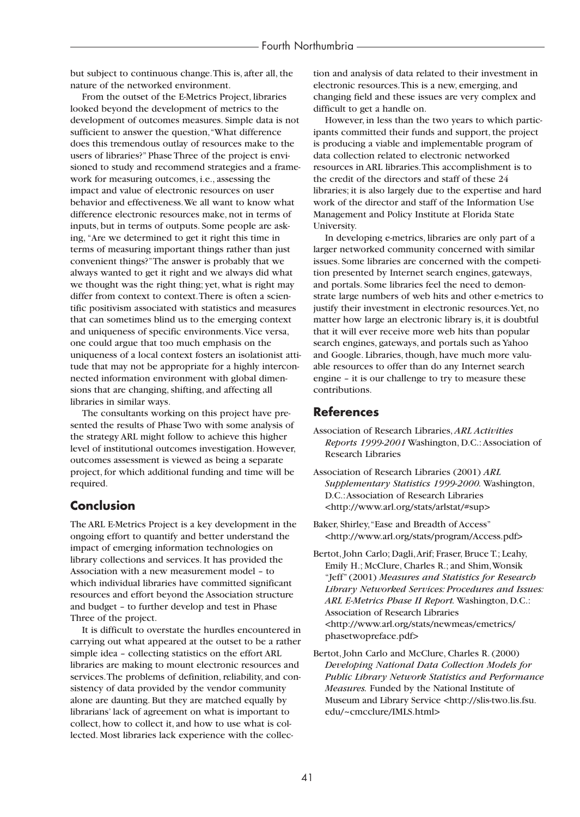but subject to continuous change.This is, after all, the nature of the networked environment.

From the outset of the E-Metrics Project, libraries looked beyond the development of metrics to the development of outcomes measures. Simple data is not sufficient to answer the question,"What difference does this tremendous outlay of resources make to the users of libraries?" Phase Three of the project is envisioned to study and recommend strategies and a framework for measuring outcomes, i.e., assessing the impact and value of electronic resources on user behavior and effectiveness.We all want to know what difference electronic resources make, not in terms of inputs, but in terms of outputs. Some people are asking, "Are we determined to get it right this time in terms of measuring important things rather than just convenient things?"The answer is probably that we always wanted to get it right and we always did what we thought was the right thing; yet, what is right may differ from context to context.There is often a scientific positivism associated with statistics and measures that can sometimes blind us to the emerging context and uniqueness of specific environments.Vice versa, one could argue that too much emphasis on the uniqueness of a local context fosters an isolationist attitude that may not be appropriate for a highly interconnected information environment with global dimensions that are changing, shifting, and affecting all libraries in similar ways.

The consultants working on this project have presented the results of Phase Two with some analysis of the strategy ARL might follow to achieve this higher level of institutional outcomes investigation. However, outcomes assessment is viewed as being a separate project, for which additional funding and time will be required.

# **Conclusion**

The ARL E-Metrics Project is a key development in the ongoing effort to quantify and better understand the impact of emerging information technologies on library collections and services. It has provided the Association with a new measurement model – to which individual libraries have committed significant resources and effort beyond the Association structure and budget – to further develop and test in Phase Three of the project.

It is difficult to overstate the hurdles encountered in carrying out what appeared at the outset to be a rather simple idea – collecting statistics on the effort ARL libraries are making to mount electronic resources and services.The problems of definition, reliability, and consistency of data provided by the vendor community alone are daunting. But they are matched equally by librarians' lack of agreement on what is important to collect, how to collect it, and how to use what is collected. Most libraries lack experience with the collection and analysis of data related to their investment in electronic resources.This is a new, emerging, and changing field and these issues are very complex and difficult to get a handle on.

However, in less than the two years to which participants committed their funds and support, the project is producing a viable and implementable program of data collection related to electronic networked resources in ARL libraries.This accomplishment is to the credit of the directors and staff of these 24 libraries; it is also largely due to the expertise and hard work of the director and staff of the Information Use Management and Policy Institute at Florida State University.

In developing e-metrics, libraries are only part of a larger networked community concerned with similar issues. Some libraries are concerned with the competition presented by Internet search engines, gateways, and portals. Some libraries feel the need to demonstrate large numbers of web hits and other e-metrics to justify their investment in electronic resources.Yet, no matter how large an electronic library is, it is doubtful that it will ever receive more web hits than popular search engines, gateways, and portals such as Yahoo and Google. Libraries, though, have much more valuable resources to offer than do any Internet search engine – it is our challenge to try to measure these contributions.

# **References**

- Association of Research Libraries, *ARL Activities Reports 1999-2001* Washington, D.C.:Association of Research Libraries
- Association of Research Libraries (2001) *ARL Supplementary Statistics 1999-2000.* Washington, D.C.:Association of Research Libraries <http://www.arl.org/stats/arlstat/#sup>
- Baker, Shirley,"Ease and Breadth of Access" <http://www.arl.org/stats/program/Access.pdf>
- Bertot, John Carlo; Dagli,Arif; Fraser, Bruce T.; Leahy, Emily H.; McClure, Charles R.; and Shim,Wonsik "Jeff" (2001) *Measures and Statistics for Research Library Networked Services: Procedures and Issues: ARL E-Metrics Phase II Report.* Washington, D.C.: Association of Research Libraries <http://www.arl.org/stats/newmeas/emetrics/ phasetwopreface.pdf>
- Bertot, John Carlo and McClure, Charles R. (2000) *Developing National Data Collection Models for Public Library Network Statistics and Performance Measures.* Funded by the National Institute of Museum and Library Service <http://slis-two.lis.fsu. edu/~cmcclure/IMLS.html>